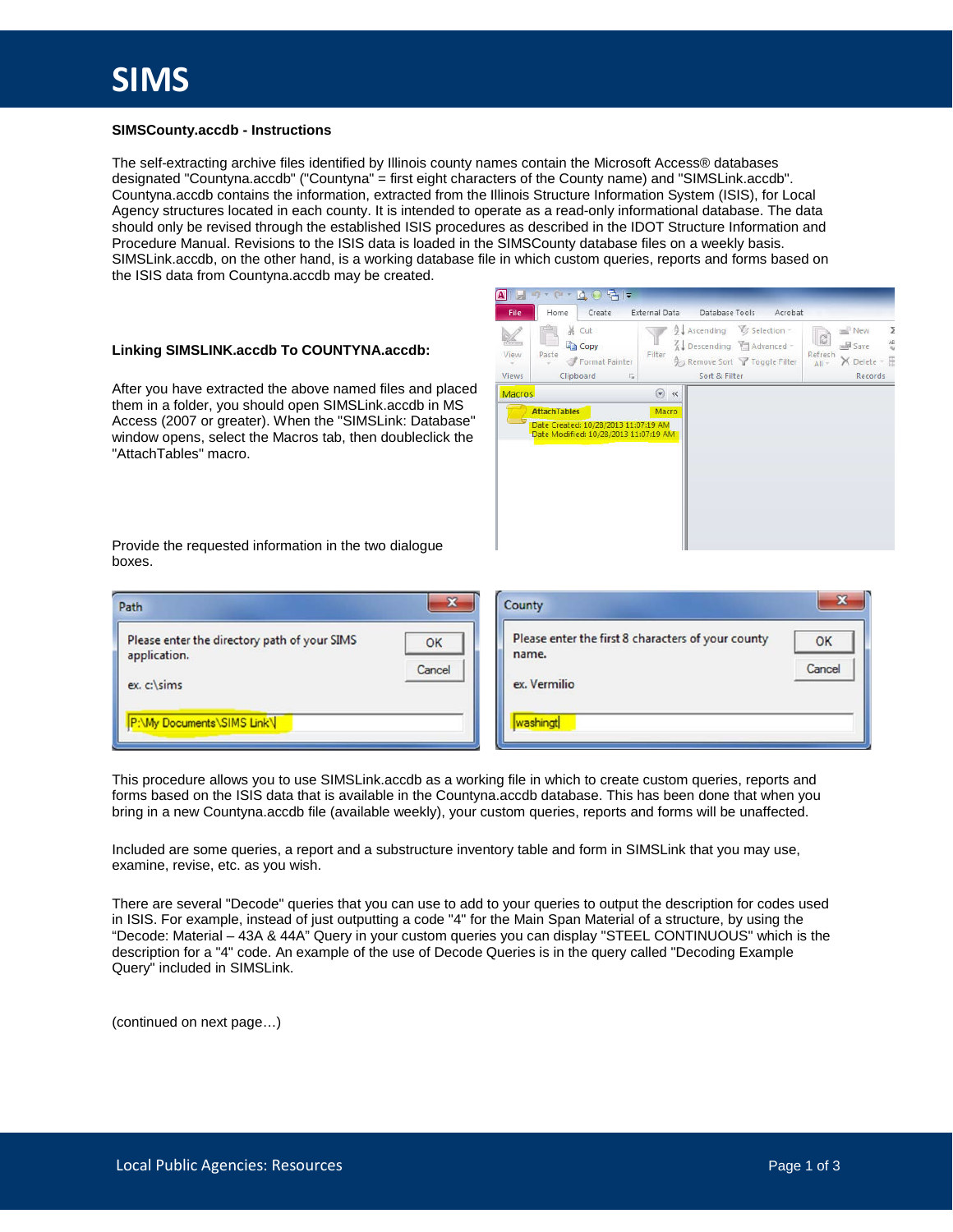#### **SIMSCounty.accdb - Instructions**

The self-extracting archive files identified by Illinois county names contain the Microsoft Access® databases designated "Countyna.accdb" ("Countyna" = first eight characters of the County name) and "SIMSLink.accdb". Countyna.accdb contains the information, extracted from the Illinois Structure Information System (ISIS), for Local Agency structures located in each county. It is intended to operate as a read-only informational database. The data should only be revised through the established ISIS procedures as described in the IDOT Structure Information and Procedure Manual. Revisions to the ISIS data is loaded in the SIMSCounty database files on a weekly basis. SIMSLink.accdb, on the other hand, is a working database file in which custom queries, reports and forms based on the ISIS data from Countyna.accdb may be created.

### **Linking SIMSLINK.accdb To COUNTYNA.accdb:**

After you have extracted the above named files and placed them in a folder, you should open SIMSLink.accdb in MS Access (2007 or greater). When the "SIMSLink: Database" window opens, select the Macros tab, then doubleclick the "AttachTables" macro.



Provide the requested information in the two dialogue boxes.

| Path                                                                                                      | $\mathbf{x}$ | County                                                                                  | X            |
|-----------------------------------------------------------------------------------------------------------|--------------|-----------------------------------------------------------------------------------------|--------------|
| Please enter the directory path of your SIMS<br>application.<br>ex. c:\sims<br>P:\My Documents\SIMS Link\ | OK<br>Cancel | Please enter the first 8 characters of your county<br>name.<br>ex. Vermilio<br>washingt | OK<br>Cancel |

This procedure allows you to use SIMSLink.accdb as a working file in which to create custom queries, reports and forms based on the ISIS data that is available in the Countyna.accdb database. This has been done that when you bring in a new Countyna.accdb file (available weekly), your custom queries, reports and forms will be unaffected.

Included are some queries, a report and a substructure inventory table and form in SIMSLink that you may use, examine, revise, etc. as you wish.

There are several "Decode" queries that you can use to add to your queries to output the description for codes used in ISIS. For example, instead of just outputting a code "4" for the Main Span Material of a structure, by using the "Decode: Material – 43A & 44A" Query in your custom queries you can display "STEEL CONTINUOUS" which is the description for a "4" code. An example of the use of Decode Queries is in the query called "Decoding Example Query" included in SIMSLink.

(continued on next page…)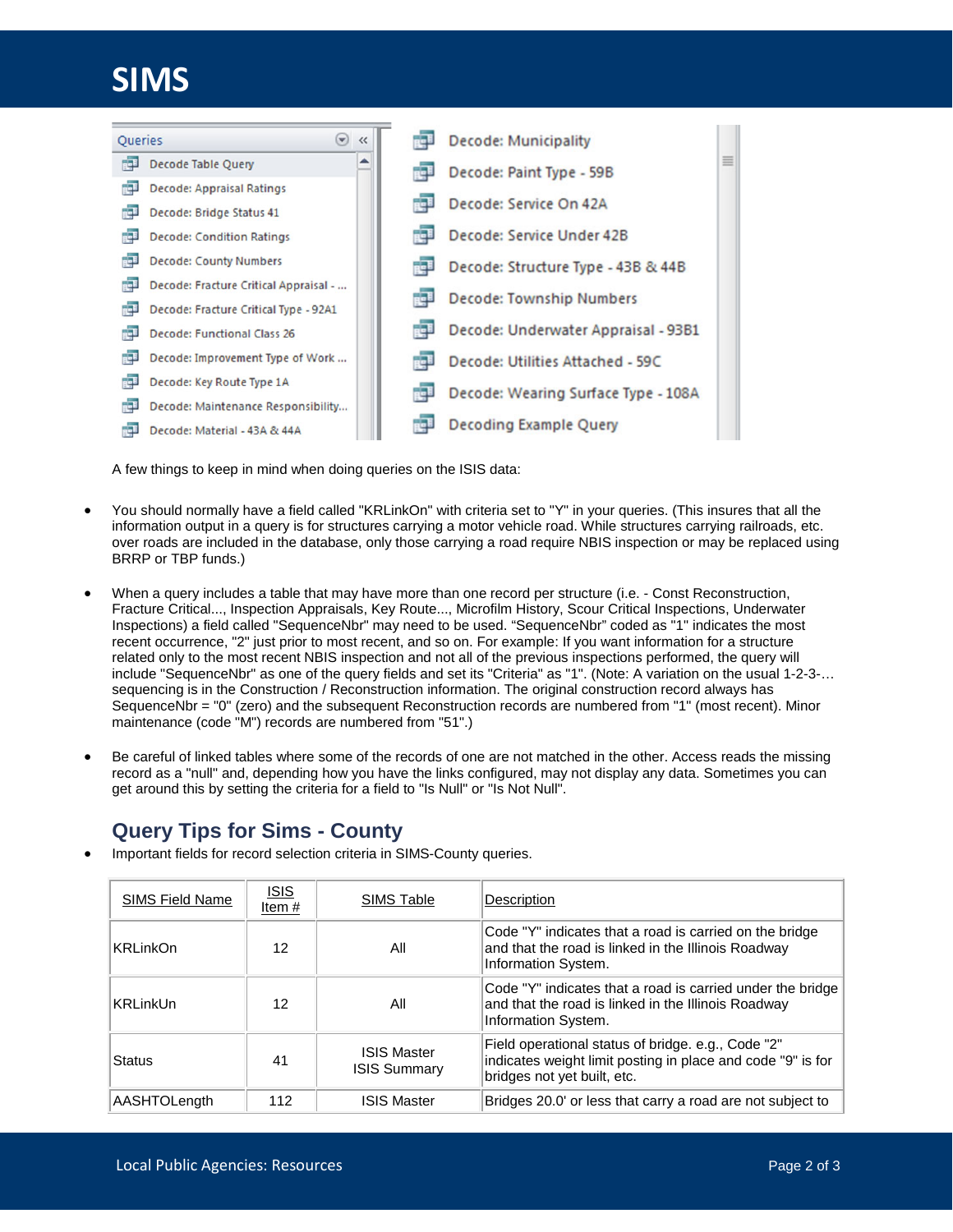# **SIMS**



A few things to keep in mind when doing queries on the ISIS data:

- You should normally have a field called "KRLinkOn" with criteria set to "Y" in your queries. (This insures that all the information output in a query is for structures carrying a motor vehicle road. While structures carrying railroads, etc. over roads are included in the database, only those carrying a road require NBIS inspection or may be replaced using BRRP or TBP funds.)
- When a query includes a table that may have more than one record per structure (i.e. Const Reconstruction, Fracture Critical..., Inspection Appraisals, Key Route..., Microfilm History, Scour Critical Inspections, Underwater Inspections) a field called "SequenceNbr" may need to be used. "SequenceNbr" coded as "1" indicates the most recent occurrence, "2" just prior to most recent, and so on. For example: If you want information for a structure related only to the most recent NBIS inspection and not all of the previous inspections performed, the query will include "SequenceNbr" as one of the query fields and set its "Criteria" as "1". (Note: A variation on the usual 1-2-3-… sequencing is in the Construction / Reconstruction information. The original construction record always has SequenceNbr = "0" (zero) and the subsequent Reconstruction records are numbered from "1" (most recent). Minor maintenance (code "M") records are numbered from "51".)
- Be careful of linked tables where some of the records of one are not matched in the other. Access reads the missing record as a "null" and, depending how you have the links configured, may not display any data. Sometimes you can get around this by setting the criteria for a field to "Is Null" or "Is Not Null".

### **Query Tips for Sims - County**

• Important fields for record selection criteria in SIMS-County queries.

| <b>SIMS Field Name</b> | <u>ISIS</u><br>Item # | SIMS Table                                | Description                                                                                                                                      |
|------------------------|-----------------------|-------------------------------------------|--------------------------------------------------------------------------------------------------------------------------------------------------|
| <b>KRLinkOn</b>        | 12                    | All                                       | Code "Y" indicates that a road is carried on the bridge<br>and that the road is linked in the Illinois Roadway<br>Information System.            |
| <b>KRLinkUn</b>        | 12                    | All                                       | Code "Y" indicates that a road is carried under the bridge<br>and that the road is linked in the Illinois Roadway<br>Information System.         |
| <b>Status</b>          | 41                    | <b>ISIS Master</b><br><b>ISIS Summary</b> | Field operational status of bridge. e.g., Code "2"<br>indicates weight limit posting in place and code "9" is for<br>bridges not yet built, etc. |
| AASHTOLength           | 112                   | <b>ISIS Master</b>                        | Bridges 20.0' or less that carry a road are not subject to                                                                                       |